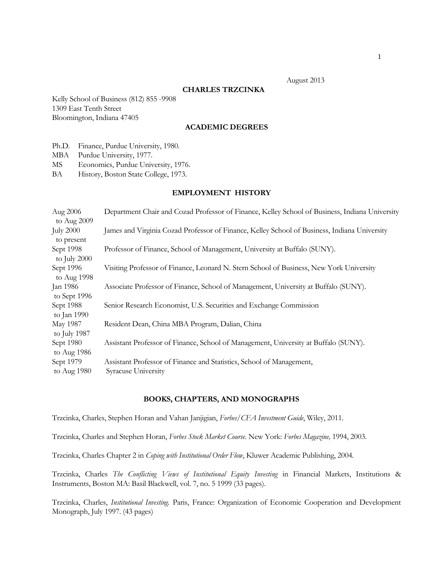### August 2013

#### **CHARLES TRZCINKA**

Kelly School of Business (812) 855 -9908 1309 East Tenth Street Bloomington, Indiana 47405

# **ACADEMIC DEGREES**

Ph.D. Finance, Purdue University, 1980.

MBA Purdue University, 1977.

MS Economics, Purdue University, 1976.

BA History, Boston State College, 1973.

### **EMPLOYMENT HISTORY**

| Aug 2006                       | Department Chair and Cozad Professor of Finance, Kelley School of Business, Indiana University |
|--------------------------------|------------------------------------------------------------------------------------------------|
| to Aug 2009                    |                                                                                                |
| <b>July 2000</b><br>to present | James and Virginia Cozad Professor of Finance, Kelley School of Business, Indiana University   |
| Sept 1998<br>to July 2000      | Professor of Finance, School of Management, University at Buffalo (SUNY).                      |
| Sept 1996<br>to Aug 1998       | Visiting Professor of Finance, Leonard N. Stern School of Business, New York University        |
| Jan 1986<br>to Sept 1996       | Associate Professor of Finance, School of Management, University at Buffalo (SUNY).            |
| Sept 1988<br>to Jan 1990       | Senior Research Economist, U.S. Securities and Exchange Commission                             |
| May 1987<br>to July 1987       | Resident Dean, China MBA Program, Dalian, China                                                |
| Sept 1980<br>to Aug 1986       | Assistant Professor of Finance, School of Management, University at Buffalo (SUNY).            |
| Sept 1979<br>to Aug 1980       | Assistant Professor of Finance and Statistics, School of Management,<br>Syracuse University    |
|                                |                                                                                                |

#### **BOOKS, CHAPTERS, AND MONOGRAPHS**

Trzcinka, Charles, Stephen Horan and Vahan Janjigian, *Forbes/CFA Investment Guide*, Wiley, 2011.

Trzcinka, Charles and Stephen Horan, *Forbes Stock Market Course*. New York: *Forbes Magazine,* 1994, 2003.

Trzcinka, Charles Chapter 2 in *Coping with Institutional Order Flow*, Kluwer Academic Publishing, 2004*.* 

Trzcinka, Charles *The Conflicting Views of Institutional Equity Investing* in Financial Markets, Institutions & Instruments, Boston MA: Basil Blackwell, vol. 7, no. 5 1999 (33 pages).

Trzcinka, Charles, *Institutional Investing.* Paris, France: Organization of Economic Cooperation and Development Monograph, July 1997. (43 pages)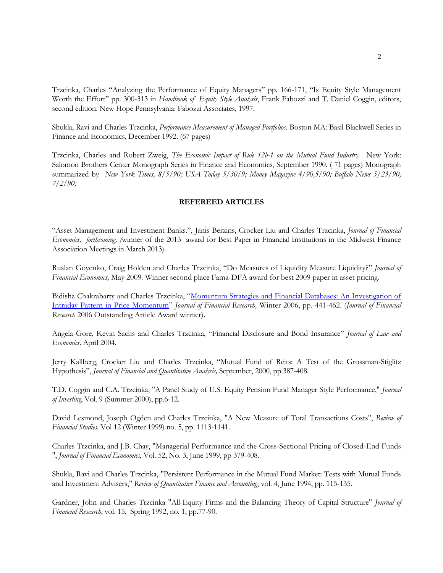Trzcinka, Charles "Analyzing the Performance of Equity Managers" pp. 166-171, "Is Equity Style Management Worth the Effort" pp. 300-313 in *Handbook of Equity Style Analysis*, Frank Fabozzi and T. Daniel Coggin, editors, second edition. New Hope Pennsylvania: Fabozzi Associates, 1997.

Shukla, Ravi and Charles Trzcinka, *Performance Measurement of Managed Portfolios.* Boston MA: Basil Blackwell Series in Finance and Economics, December 1992. (67 pages)

Trzcinka, Charles and Robert Zweig, *The Economic Impact of Rule 12b-1 on the Mutual Fund Industry.* New York: Salomon Brothers Center Monograph Series in Finance and Economics, September 1990. ( 71 pages) Monograph summarized by *New York Times, 8/5/90; USA Today 5/30/9; Money Magazine 4/90,5/90; Buffalo News 5/23/90, 7/2/90;*

## **REFEREED ARTICLES**

"Asset Management and Investment Banks.", Janis Berzins, Crocker Liu and Charles Trzcinka, *Journal of Financial Economics, forthcoming. (*winner of the 2013 award for Best Paper in Financial Institutions in the Midwest Finance Association Meetings in March 2013).

Ruslan Goyenko, Craig Holden and Charles Trzcinka, "Do Measures of Liquidity Measure Liquidity?" *Journal of Financial Economics,* May 2009. Winner second place Fama-DFA award for best 2009 paper in asset pricing.

Bidisha Chakrabarty and Charles Trzcinka, "[Momentum Strategies and Financial Databases: An Investigation of](http://papers.ssrn.com/sol3/papers.cfm?abstract_id=607782)  [Intraday Pattern in Price Momentum](http://papers.ssrn.com/sol3/papers.cfm?abstract_id=607782)" *Journal of Financial Research,* Winter 2006, pp. 441-462. (*Journal of Financial Research* 2006 Outstanding Article Award winner).

Angela Gore, Kevin Sachs and Charles Trzcinka, "Financial Disclosure and Bond Insurance" *Journal of Law and Economics,* April 2004*.*

Jerry Kallberg, Crocker Liu and Charles Trzcinka, "Mutual Fund of Reits: A Test of the Grossman-Stiglitz Hypothesis", *Journal of Financial and Quantitative Analysis,* September, 2000, pp.387-408.

T.D. Coggin and C.A. Trzcinka, "A Panel Study of U.S. Equity Pension Fund Manager Style Performance," *Journal of Investing*, Vol. 9 (Summer 2000), pp.6-12.

David Lesmond, Joseph Ogden and Charles Trzcinka, "A New Measure of Total Transactions Costs", *Review of Financial Studies,* Vol 12 (Winter 1999) no. 5, pp. 1113-1141.

Charles Trzcinka, and J.B. Chay, "Managerial Performance and the Cross-Sectional Pricing of Closed-End Funds ", *Journal of Financial Economics*, Vol. 52, No. 3, June 1999, pp 379-408.

Shukla, Ravi and Charles Trzcinka, "Persistent Performance in the Mutual Fund Market: Tests with Mutual Funds and Investment Advisers," *Review of Quantitative Finance and Accounting*, vol. 4, June 1994, pp. 115-135.

Gardner, John and Charles Trzcinka "All-Equity Firms and the Balancing Theory of Capital Structure" *Journal of Financial Research*, vol. 15, Spring 1992, no. 1, pp.77-90.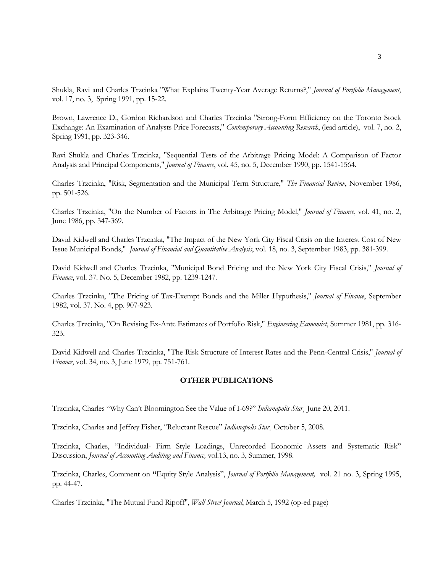Shukla, Ravi and Charles Trzcinka "What Explains Twenty-Year Average Returns?," *Journal of Portfolio Management*, vol. 17, no. 3, Spring 1991, pp. 15-22.

Brown, Lawrence D., Gordon Richardson and Charles Trzcinka "Strong-Form Efficiency on the Toronto Stock Exchange: An Examination of Analysts Price Forecasts," *Contemporary Accounting Research*, (lead article), vol. 7, no. 2, Spring 1991, pp. 323-346.

Ravi Shukla and Charles Trzcinka, "Sequential Tests of the Arbitrage Pricing Model: A Comparison of Factor Analysis and Principal Components," *Journal of Finance*, vol. 45, no. 5, December 1990, pp. 1541-1564.

Charles Trzcinka, "Risk, Segmentation and the Municipal Term Structure," *The Financial Review*, November 1986, pp. 501-526.

Charles Trzcinka, "On the Number of Factors in The Arbitrage Pricing Model," *Journal of Finance*, vol. 41, no. 2, June 1986, pp. 347-369.

David Kidwell and Charles Trzcinka, "The Impact of the New York City Fiscal Crisis on the Interest Cost of New Issue Municipal Bonds," *Journal of Financial and Quantitative Analysis*, vol. 18, no. 3, September 1983, pp. 381-399.

David Kidwell and Charles Trzcinka, "Municipal Bond Pricing and the New York City Fiscal Crisis," *Journal of Finance*, vol. 37. No. 5, December 1982, pp. 1239-1247.

Charles Trzcinka, "The Pricing of Tax-Exempt Bonds and the Miller Hypothesis," *Journal of Finance*, September 1982, vol. 37. No. 4, pp. 907-923.

Charles Trzcinka, "On Revising Ex-Ante Estimates of Portfolio Risk," *Engineering Economist*, Summer 1981, pp. 316- 323.

David Kidwell and Charles Trzcinka, "The Risk Structure of Interest Rates and the Penn-Central Crisis," *Journal of Finance*, vol. 34, no. 3, June 1979, pp. 751-761.

## **OTHER PUBLICATIONS**

Trzcinka, Charles "Why Can't Bloomington See the Value of I-69?" *Indianapolis Star¸* June 20, 2011.

Trzcinka, Charles and Jeffrey Fisher, "Reluctant Rescue" *Indianapolis Star¸* October 5, 2008.

Trzcinka, Charles, "Individual- Firm Style Loadings, Unrecorded Economic Assets and Systematic Risk" Discussion, *Journal of Accounting Auditing and Finance,* vol.13, no. 3, Summer, 1998.

Trzcinka, Charles, Comment on **"**Equity Style Analysis", *Journal of Portfolio Management,* vol. 21 no. 3, Spring 1995, pp. 44-47.

Charles Trzcinka, "The Mutual Fund Ripoff", *Wall Street Journal*, March 5, 1992 (op-ed page)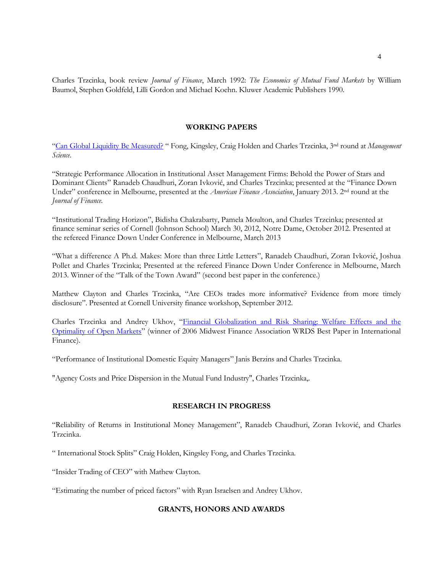Charles Trzcinka, book review *Journal of Finance*, March 1992: *The Economics of Mutual Fund Markets* by William Baumol, Stephen Goldfeld, Lilli Gordon and Michael Koehn. Kluwer Academic Publishers 1990.

# **WORKING PAPERS**

"[Can Global Liquidity Be Measured?](http://papers.ssrn.com/sol3/papers.cfm?abstract_id=1558447) " Fong, Kingsley, Craig Holden and Charles Trzcinka, 3nd round at *Management Science*.

"Strategic Performance Allocation in Institutional Asset Management Firms: Behold the Power of Stars and Dominant Clients" Ranadeb Chaudhuri, Zoran Ivković, and Charles Trzcinka; presented at the "Finance Down Under" conference in Melbourne, presented at the *American Finance Association*, January 2013. 2nd round at the *Journal of Finance.*

"Institutional Trading Horizon", Bidisha Chakrabarty, Pamela Moulton, and Charles Trzcinka; presented at finance seminar series of Cornell (Johnson School) March 30, 2012, Notre Dame, October 2012. Presented at the refereed Finance Down Under Conference in Melbourne, March 2013

"What a difference A Ph.d. Makes: More than three Little Letters", Ranadeb Chaudhuri, Zoran Ivković, Joshua Pollet and Charles Trzcinka; Presented at the refereed Finance Down Under Conference in Melbourne, March 2013. Winner of the "Talk of the Town Award" (second best paper in the conference.)

Matthew Clayton and Charles Trzcinka, "Are CEOs trades more informative? Evidence from more timely disclosure". Presented at Cornell University finance workshop, September 2012.

Charles Trzcinka and Andrey Ukhov, "[Financial Globalization and Risk Sharing: Welfare Effects and the](http://papers.ssrn.com/sol3/papers.cfm?abstract_id=682821)  [Optimality of Open Markets](http://papers.ssrn.com/sol3/papers.cfm?abstract_id=682821)" (winner of 2006 Midwest Finance Association WRDS Best Paper in International Finance).

"Performance of Institutional Domestic Equity Managers" Janis Berzins and Charles Trzcinka.

"Agency Costs and Price Dispersion in the Mutual Fund Industry", Charles Trzcinka,.

# **RESEARCH IN PROGRESS**

"Reliability of Returns in Institutional Money Management", Ranadeb Chaudhuri, Zoran Ivković, and Charles Trzcinka.

" International Stock Splits" Craig Holden, Kingsley Fong, and Charles Trzcinka.

"Insider Trading of CEO" with Mathew Clayton.

"Estimating the number of priced factors" with Ryan Israelsen and Andrey Ukhov.

# **GRANTS, HONORS AND AWARDS**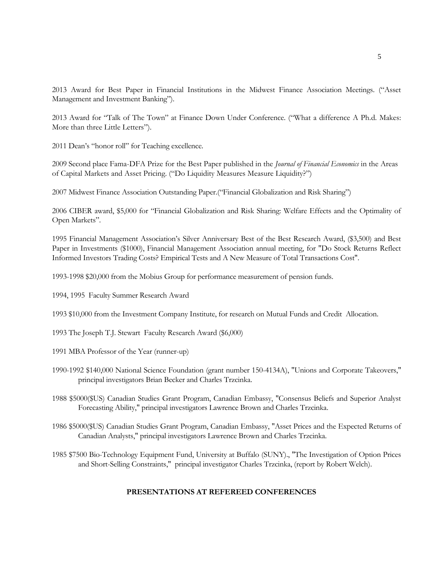2013 Award for Best Paper in Financial Institutions in the Midwest Finance Association Meetings. ("Asset Management and Investment Banking").

2013 Award for "Talk of The Town" at Finance Down Under Conference. ("What a difference A Ph.d. Makes: More than three Little Letters").

2011 Dean's "honor roll" for Teaching excellence.

2009 Second place Fama-DFA Prize for the Best Paper published in the *Journal of Financial Economics* in the Areas of Capital Markets and Asset Pricing. ("Do Liquidity Measures Measure Liquidity?")

2007 Midwest Finance Association Outstanding Paper.("Financial Globalization and Risk Sharing")

2006 CIBER award, \$5,000 for "Financial Globalization and Risk Sharing: Welfare Effects and the Optimality of Open Markets".

1995 Financial Management Association's Silver Anniversary Best of the Best Research Award, (\$3,500) and Best Paper in Investments (\$1000), Financial Management Association annual meeting, for "Do Stock Returns Reflect Informed Investors Trading Costs? Empirical Tests and A New Measure of Total Transactions Cost".

1993-1998 \$20,000 from the Mobius Group for performance measurement of pension funds.

1994, 1995 Faculty Summer Research Award

1993 \$10,000 from the Investment Company Institute, for research on Mutual Funds and Credit Allocation.

1993 The Joseph T.J. Stewart Faculty Research Award (\$6,000)

- 1991 MBA Professor of the Year (runner-up)
- 1990-1992 \$140,000 National Science Foundation (grant number 150-4134A), "Unions and Corporate Takeovers," principal investigators Brian Becker and Charles Trzcinka.
- 1988 \$5000(\$US) Canadian Studies Grant Program, Canadian Embassy, "Consensus Beliefs and Superior Analyst Forecasting Ability," principal investigators Lawrence Brown and Charles Trzcinka.
- 1986 \$5000(\$US) Canadian Studies Grant Program, Canadian Embassy, "Asset Prices and the Expected Returns of Canadian Analysts," principal investigators Lawrence Brown and Charles Trzcinka.

1985 \$7500 Bio-Technology Equipment Fund, University at Buffalo (SUNY)., "The Investigation of Option Prices and Short-Selling Constraints," principal investigator Charles Trzcinka, (report by Robert Welch).

## **PRESENTATIONS AT REFEREED CONFERENCES**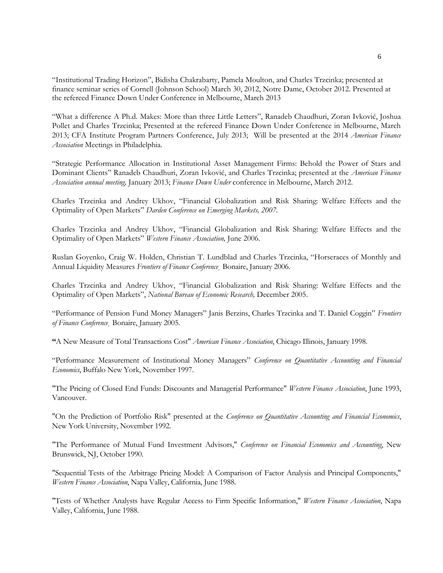"Institutional Trading Horizon", Bidisha Chakrabarty, Pamela Moulton, and Charles Trzcinka; presented at finance seminar series of Cornell (Johnson School) March 30, 2012, Notre Dame, October 2012. Presented at the refereed Finance Down Under Conference in Melbourne, March 2013

"What a difference A Ph.d. Makes: More than three Little Letters", Ranadeb Chaudhuri, Zoran Ivković, Joshua Pollet and Charles Trzcinka; Presented at the refereed Finance Down Under Conference in Melbourne, March 2013; CFA Institute Program Partners Conference, July 2013; Will be presented at the 2014 *American Finance Association* Meetings in Philadelphia.

"Strategic Performance Allocation in Institutional Asset Management Firms: Behold the Power of Stars and Dominant Clients" Ranadeb Chaudhuri, Zoran Ivković, and Charles Trzcinka; presented at the *American Finance Association annual meeting,* January 2013; *Finance Down Under* conference in Melbourne, March 2012.

Charles Trzcinka and Andrey Ukhov, "Financial Globalization and Risk Sharing: Welfare Effects and the Optimality of Open Markets" *Darden Conference on Emerging Markets, 2007.*

Charles Trzcinka and Andrey Ukhov, "Financial Globalization and Risk Sharing: Welfare Effects and the Optimality of Open Markets" *Western Finance Association,* June 2006.

Ruslan Goyenko, Craig W. Holden, Christian T. Lundblad and Charles Trzcinka, "Horseraces of Monthly and Annual Liquidity Measures *Frontiers of Finance Conference¸* Bonaire, January 2006.

Charles Trzcinka and Andrey Ukhov, "Financial Globalization and Risk Sharing: Welfare Effects and the Optimality of Open Markets", *National Bureau of Economic Research,* December 2005.

"Performance of Pension Fund Money Managers" Janis Berzins, Charles Trzcinka and T. Daniel Coggin" *Frontiers of Finance Conference¸* Bonaire, January 2005.

**"**A New Measure of Total Transactions Cost" *American Finance Association*, Chicago Illinois, January 1998.

"Performance Measurement of Institutional Money Managers" *Conference on Quantitative Accounting and Financial Economics*, Buffalo New York, November 1997.

"The Pricing of Closed End Funds: Discounts and Managerial Performance" *Western Finance Association*, June 1993, Vancouver.

"On the Prediction of Portfolio Risk" presented at the *Conference on Quantitative Accounting and Financial Economics*, New York University, November 1992.

"The Performance of Mutual Fund Investment Advisors," *Conference on Financial Economics and Accounting*, New Brunswick, NJ, October 1990.

"Sequential Tests of the Arbitrage Pricing Model: A Comparison of Factor Analysis and Principal Components," *Western Finance Association*, Napa Valley, California, June 1988.

"Tests of Whether Analysts have Regular Access to Firm Specific Information," *Western Finance Association*, Napa Valley, California, June 1988.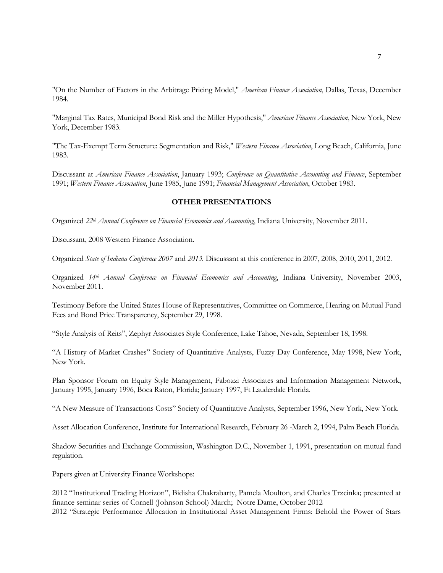"On the Number of Factors in the Arbitrage Pricing Model," *American Finance Association*, Dallas, Texas, December 1984.

"Marginal Tax Rates, Municipal Bond Risk and the Miller Hypothesis," *American Finance Association*, New York, New York, December 1983.

"The Tax-Exempt Term Structure: Segmentation and Risk," *Western Finance Association*, Long Beach, California, June 1983.

Discussant at *American Finance Association*, January 1993; *Conference on Quantitative Accounting and Finance*, September 1991; *Western Finance Association*, June 1985, June 1991; *Financial Management Association*, October 1983.

## **OTHER PRESENTATIONS**

Organized *22th Annual Conference on Financial Economics and Accounting*, Indiana University, November 2011.

Discussant, 2008 Western Finance Association.

Organized *State of Indiana Conference 2007* and *2013.* Discussant at this conference in 2007, 2008, 2010, 2011, 2012.

Organized *14th Annual Conference on Financial Economics and Accounting*, Indiana University, November 2003, November 2011.

Testimony Before the United States House of Representatives, Committee on Commerce, Hearing on Mutual Fund Fees and Bond Price Transparency, September 29, 1998.

"Style Analysis of Reits", Zephyr Associates Style Conference, Lake Tahoe, Nevada, September 18, 1998.

"A History of Market Crashes" Society of Quantitative Analysts, Fuzzy Day Conference, May 1998, New York, New York.

Plan Sponsor Forum on Equity Style Management, Fabozzi Associates and Information Management Network, January 1995, January 1996, Boca Raton, Florida; January 1997, Ft Lauderdale Florida.

"A New Measure of Transactions Costs" Society of Quantitative Analysts, September 1996, New York, New York.

Asset Allocation Conference, Institute for International Research, February 26 -March 2, 1994, Palm Beach Florida.

Shadow Securities and Exchange Commission, Washington D.C., November 1, 1991, presentation on mutual fund regulation.

Papers given at University Finance Workshops:

2012 "Institutional Trading Horizon", Bidisha Chakrabarty, Pamela Moulton, and Charles Trzcinka; presented at finance seminar series of Cornell (Johnson School) March; Notre Dame, October 2012 2012 "Strategic Performance Allocation in Institutional Asset Management Firms: Behold the Power of Stars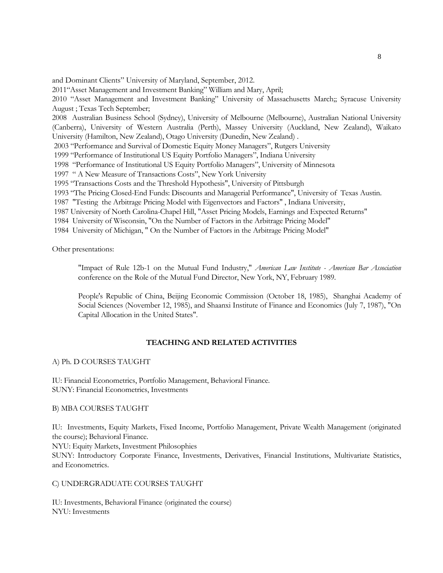and Dominant Clients" University of Maryland, September, 2012.

2011"Asset Management and Investment Banking" William and Mary, April;

2010 "Asset Management and Investment Banking" University of Massachusetts March;; Syracuse University August ; Texas Tech September;

2008 Australian Business School (Sydney), University of Melbourne (Melbourne), Australian National University (Canberra), University of Western Australia (Perth), Massey University (Auckland, New Zealand), Waikato University (Hamilton, New Zealand), Otago University (Dunedin, New Zealand) .

2003 "Performance and Survival of Domestic Equity Money Managers", Rutgers University

1999 "Performance of Institutional US Equity Portfolio Managers", Indiana University

1998 "Performance of Institutional US Equity Portfolio Managers", University of Minnesota

1997 " A New Measure of Transactions Costs", New York University

1995 "Transactions Costs and the Threshold Hypothesis", University of Pittsburgh

1993 "The Pricing Closed-End Funds: Discounts and Managerial Performance", University of Texas Austin.

1987 "Testing the Arbitrage Pricing Model with Eigenvectors and Factors" , Indiana University,

1987 University of North Carolina-Chapel Hill, "Asset Pricing Models, Earnings and Expected Returns"

1984 University of Wisconsin, "On the Number of Factors in the Arbitrage Pricing Model"

1984 University of Michigan, " On the Number of Factors in the Arbitrage Pricing Model"

Other presentations:

"Impact of Rule 12b-1 on the Mutual Fund Industry," *American Law Institute - American Bar Association* conference on the Role of the Mutual Fund Director, New York, NY, February 1989.

People's Republic of China, Beijing Economic Commission (October 18, 1985), Shanghai Academy of Social Sciences (November 12, 1985), and Shaanxi Institute of Finance and Economics (July 7, 1987), "On Capital Allocation in the United States".

## **TEACHING AND RELATED ACTIVITIES**

A) Ph. D COURSES TAUGHT

IU: Financial Econometrics, Portfolio Management, Behavioral Finance. SUNY: Financial Econometrics, Investments

B) MBA COURSES TAUGHT

IU: Investments, Equity Markets, Fixed Income, Portfolio Management, Private Wealth Management (originated the course); Behavioral Finance.

NYU: Equity Markets, Investment Philosophies

SUNY: Introductory Corporate Finance, Investments, Derivatives, Financial Institutions, Multivariate Statistics, and Econometrics.

## C) UNDERGRADUATE COURSES TAUGHT

IU: Investments, Behavioral Finance (originated the course) NYU: Investments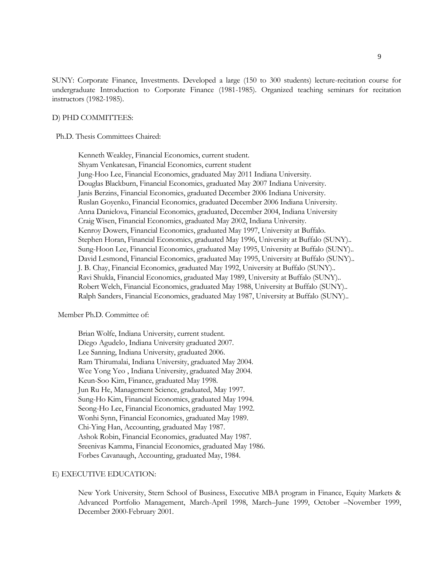SUNY: Corporate Finance, Investments. Developed a large (150 to 300 students) lecture-recitation course for undergraduate Introduction to Corporate Finance (1981-1985). Organized teaching seminars for recitation instructors (1982-1985).

#### D) PHD COMMITTEES:

Ph.D. Thesis Committees Chaired:

Kenneth Weakley, Financial Economics, current student. Shyam Venkatesan, Financial Economics, current student Jung-Hoo Lee, Financial Economics, graduated May 2011 Indiana University. Douglas Blackburn, Financial Economics, graduated May 2007 Indiana University. Janis Berzins, Financial Economics, graduated December 2006 Indiana University. Ruslan Goyenko, Financial Economics, graduated December 2006 Indiana University. Anna Danielova, Financial Economics, graduated, December 2004, Indiana University Craig Wisen, Financial Economics, graduated May 2002, Indiana University. Kenroy Dowers, Financial Economics, graduated May 1997, University at Buffalo. Stephen Horan, Financial Economics, graduated May 1996, University at Buffalo (SUNY).. Sung-Hoon Lee, Financial Economics, graduated May 1995, University at Buffalo (SUNY).. David Lesmond, Financial Economics, graduated May 1995, University at Buffalo (SUNY).. J. B. Chay, Financial Economics, graduated May 1992, University at Buffalo (SUNY).. Ravi Shukla, Financial Economics, graduated May 1989, University at Buffalo (SUNY).. Robert Welch, Financial Economics, graduated May 1988, University at Buffalo (SUNY).. Ralph Sanders, Financial Economics, graduated May 1987, University at Buffalo (SUNY)..

### Member Ph.D. Committee of:

Brian Wolfe, Indiana University, current student. Diego Agudelo, Indiana University graduated 2007. Lee Sanning, Indiana University, graduated 2006. Ram Thirumalai, Indiana University, graduated May 2004. Wee Yong Yeo , Indiana University, graduated May 2004. Keun-Soo Kim, Finance, graduated May 1998. Jun Ru He, Management Science, graduated, May 1997. Sung-Ho Kim, Financial Economics, graduated May 1994. Seong-Ho Lee, Financial Economics, graduated May 1992. Wonhi Synn, Financial Economics, graduated May 1989. Chi-Ying Han, Accounting, graduated May 1987. Ashok Robin, Financial Economics, graduated May 1987. Sreenivas Kamma, Financial Economics, graduated May 1986. Forbes Cavanaugh, Accounting, graduated May, 1984.

### E) EXECUTIVE EDUCATION:

New York University, Stern School of Business, Executive MBA program in Finance, Equity Markets & Advanced Portfolio Management, March-April 1998, March–June 1999, October –November 1999, December 2000-February 2001.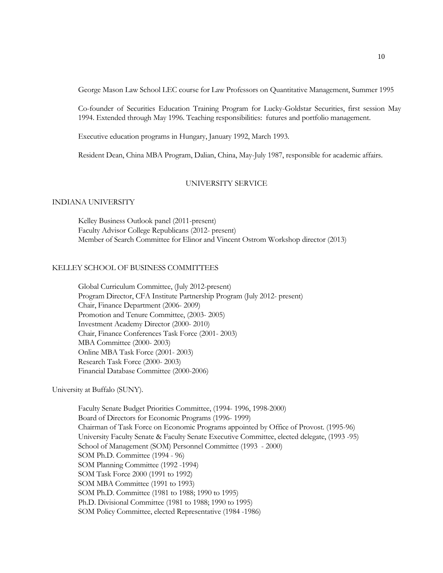George Mason Law School LEC course for Law Professors on Quantitative Management, Summer 1995

Co-founder of Securities Education Training Program for Lucky-Goldstar Securities, first session May 1994. Extended through May 1996. Teaching responsibilities: futures and portfolio management.

Executive education programs in Hungary, January 1992, March 1993.

Resident Dean, China MBA Program, Dalian, China, May-July 1987, responsible for academic affairs.

## UNIVERSITY SERVICE

## INDIANA UNIVERSITY

Kelley Business Outlook panel (2011-present) Faculty Advisor College Republicans (2012- present) Member of Search Committee for Elinor and Vincent Ostrom Workshop director (2013)

## KELLEY SCHOOL OF BUSINESS COMMITTEES

Global Curriculum Committee, (July 2012-present) Program Director, CFA Institute Partnership Program (July 2012- present) Chair, Finance Department (2006- 2009) Promotion and Tenure Committee, (2003- 2005) Investment Academy Director (2000- 2010) Chair, Finance Conferences Task Force (2001- 2003) MBA Committee (2000- 2003) Online MBA Task Force (2001- 2003) Research Task Force (2000- 2003) Financial Database Committee (2000-2006)

## University at Buffalo (SUNY).

Faculty Senate Budget Priorities Committee, (1994- 1996, 1998-2000) Board of Directors for Economic Programs (1996- 1999) Chairman of Task Force on Economic Programs appointed by Office of Provost. (1995-96) University Faculty Senate & Faculty Senate Executive Committee, elected delegate, (1993 -95) School of Management (SOM) Personnel Committee (1993 - 2000) SOM Ph.D. Committee (1994 - 96) SOM Planning Committee (1992 -1994) SOM Task Force 2000 (1991 to 1992) SOM MBA Committee (1991 to 1993) SOM Ph.D. Committee (1981 to 1988; 1990 to 1995) Ph.D. Divisional Committee (1981 to 1988; 1990 to 1995) SOM Policy Committee, elected Representative (1984 -1986)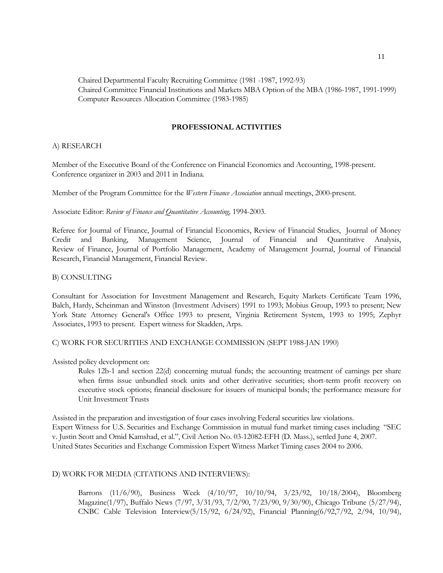Chaired Departmental Faculty Recruiting Committee (1981 -1987, 1992-93) Chaired Committee Financial Institutions and Markets MBA Option of the MBA (1986-1987, 1991-1999) Computer Resources Allocation Committee (1983-1985)

# **PROFESSIONAL ACTIVITIES**

### A) RESEARCH

Member of the Executive Board of the Conference on Financial Economics and Accounting, 1998-present. Conference organizer in 2003 and 2011 in Indiana.

Member of the Program Committee for the *Western Finance Association* annual meetings, 2000-present.

Associate Editor: *Review of Finance and Quantitative Accounting,* 1994-2003.

Referee for Journal of Finance, Journal of Financial Economics, Review of Financial Studies, Journal of Money Credit and Banking, Management Science, Journal of Financial and Quantitative Analysis, Review of Finance, Journal of Portfolio Management, Academy of Management Journal, Journal of Financial Research, Financial Management, Financial Review.

## B) CONSULTING

Consultant for Association for Investment Management and Research, Equity Markets Certificate Team 1996, Balch, Hardy, Scheinman and Winston (Investment Advisers) 1991 to 1993; Mobius Group, 1993 to present; New York State Attorney General's Office 1993 to present, Virginia Retirement System, 1993 to 1995; Zephyr Associates, 1993 to present. Expert witness for Skadden, Arps.

C) WORK FOR SECURITIES AND EXCHANGE COMMISSION (SEPT 1988-JAN 1990)

Assisted policy development on:

Rules 12b-1 and section 22(d) concerning mutual funds; the accounting treatment of earnings per share when firms issue unbundled stock units and other derivative securities; short-term profit recovery on executive stock options; financial disclosure for issuers of municipal bonds; the performance measure for Unit Investment Trusts

Assisted in the preparation and investigation of four cases involving Federal securities law violations. Expert Witness for U.S. Securities and Exchange Commission in mutual fund market timing cases including "SEC v. Justin Scott and Omid Kamshad, et al.", Civil Action No. 03-12082-EFH (D. Mass.), settled June 4, 2007. United States Securities and Exchange Commission Expert Witness Market Timing cases 2004 to 2006.

## D) WORK FOR MEDIA (CITATIONS AND INTERVIEWS):

Barrons (11/6/90), Business Week (4/10/97, 10/10/94, 3/23/92, 10/18/2004), Bloomberg Magazine(1/97), Buffalo News (7/97, 3/31/93, 7/2/90, 7/23/90, 9/30/90), Chicago Tribune (5/27/94), CNBC Cable Television Interview(5/15/92, 6/24/92), Financial Planning(6/92,7/92, 2/94, 10/94),